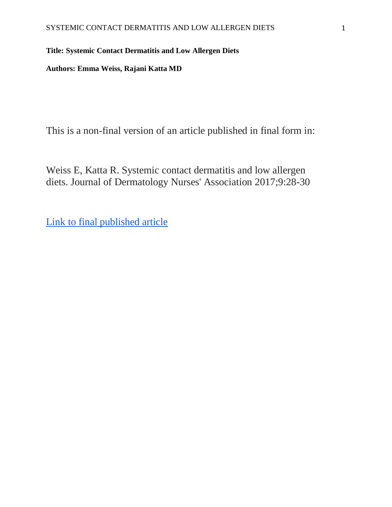# **Title: Systemic Contact Dermatitis and Low Allergen Diets**

**Authors: Emma Weiss, Rajani Katta MD**

This is a non-final version of an article published in final form in:

Weiss E, Katta R. Systemic contact dermatitis and low allergen diets. Journal of Dermatology Nurses' Association 2017;9:28-30

[Link to final published article](https://journals.lww.com/jdnaonline/Abstract/2017/01000/Systemic_Contact_Dermatitis_and_Low_Allergen_Diets.6.aspx)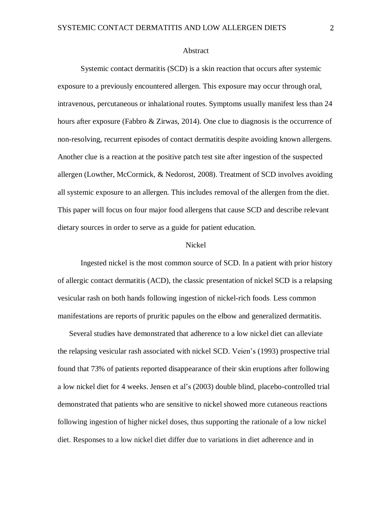# Abstract

Systemic contact dermatitis (SCD) is a skin reaction that occurs after systemic exposure to a previously encountered allergen. This exposure may occur through oral, intravenous, percutaneous or inhalational routes. Symptoms usually manifest less than 24 hours after exposure (Fabbro & Zirwas, 2014)*.* One clue to diagnosis is the occurrence of non-resolving, recurrent episodes of contact dermatitis despite avoiding known allergens. Another clue is a reaction at the positive patch test site after ingestion of the suspected allergen (Lowther, McCormick, & Nedorost, 2008). Treatment of SCD involves avoiding all systemic exposure to an allergen. This includes removal of the allergen from the diet. This paper will focus on four major food allergens that cause SCD and describe relevant dietary sources in order to serve as a guide for patient education.

#### Nickel

Ingested nickel is the most common source of SCD. In a patient with prior history of allergic contact dermatitis (ACD), the classic presentation of nickel SCD is a relapsing vesicular rash on both hands following ingestion of nickel-rich foods. Less common manifestations are reports of pruritic papules on the elbow and generalized dermatitis.

Several studies have demonstrated that adherence to a low nickel diet can alleviate the relapsing vesicular rash associated with nickel SCD. Veien's (1993) prospective trial found that 73% of patients reported disappearance of their skin eruptions after following a low nickel diet for 4 weeks. Jensen et al's (2003) double blind, placebo-controlled trial demonstrated that patients who are sensitive to nickel showed more cutaneous reactions following ingestion of higher nickel doses, thus supporting the rationale of a low nickel diet. Responses to a low nickel diet differ due to variations in diet adherence and in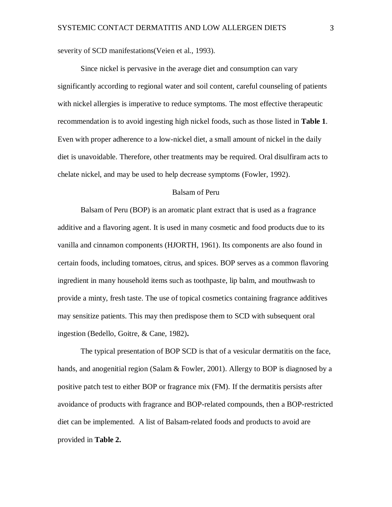severity of SCD manifestations (Veien et al., 1993).

Since nickel is pervasive in the average diet and consumption can vary significantly according to regional water and soil content, careful counseling of patients with nickel allergies is imperative to reduce symptoms. The most effective therapeutic recommendation is to avoid ingesting high nickel foods, such as those listed in **Table 1**. Even with proper adherence to a low-nickel diet, a small amount of nickel in the daily diet is unavoidable. Therefore, other treatments may be required. Oral disulfiram acts to chelate nickel, and may be used to help decrease symptoms (Fowler, 1992).

# Balsam of Peru

Balsam of Peru (BOP) is an aromatic plant extract that is used as a fragrance additive and a flavoring agent. It is used in many cosmetic and food products due to its vanilla and cinnamon components (HJORTH, 1961). Its components are also found in certain foods, including tomatoes, citrus, and spices. BOP serves as a common flavoring ingredient in many household items such as toothpaste, lip balm, and mouthwash to provide a minty, fresh taste. The use of topical cosmetics containing fragrance additives may sensitize patients. This may then predispose them to SCD with subsequent oral ingestion (Bedello, Goitre, & Cane, 1982)**.**

The typical presentation of BOP SCD is that of a vesicular dermatitis on the face, hands, and anogenitial region (Salam & Fowler, 2001). Allergy to BOP is diagnosed by a positive patch test to either BOP or fragrance mix (FM). If the dermatitis persists after avoidance of products with fragrance and BOP-related compounds, then a BOP-restricted diet can be implemented. A list of Balsam-related foods and products to avoid are provided in **Table 2.**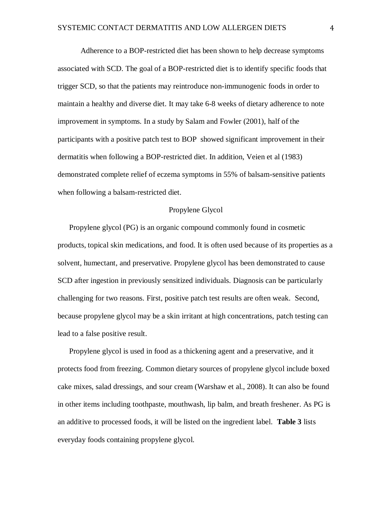Adherence to a BOP-restricted diet has been shown to help decrease symptoms associated with SCD. The goal of a BOP-restricted diet is to identify specific foods that trigger SCD, so that the patients may reintroduce non-immunogenic foods in order to maintain a healthy and diverse diet. It may take 6-8 weeks of dietary adherence to note improvement in symptoms. In a study by Salam and Fowler (2001), half of the participants with a positive patch test to BOP showed significant improvement in their dermatitis when following a BOP-restricted diet. In addition, Veien et al (1983) demonstrated complete relief of eczema symptoms in 55% of balsam-sensitive patients when following a balsam-restricted diet.

#### Propylene Glycol

Propylene glycol (PG) is an organic compound commonly found in cosmetic products, topical skin medications, and food. It is often used because of its properties as a solvent, humectant, and preservative. Propylene glycol has been demonstrated to cause SCD after ingestion in previously sensitized individuals. Diagnosis can be particularly challenging for two reasons. First, positive patch test results are often weak. Second, because propylene glycol may be a skin irritant at high concentrations, patch testing can lead to a false positive result.

Propylene glycol is used in food as a thickening agent and a preservative, and it protects food from freezing. Common dietary sources of propylene glycol include boxed cake mixes, salad dressings, and sour cream (Warshaw et al., 2008). It can also be found in other items including toothpaste, mouthwash, lip balm, and breath freshener. As PG is an additive to processed foods, it will be listed on the ingredient label. **Table 3** lists everyday foods containing propylene glycol.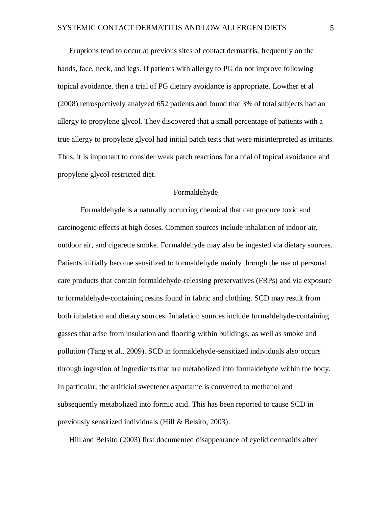Eruptions tend to occur at previous sites of contact dermatitis, frequently on the hands, face, neck, and legs. If patients with allergy to PG do not improve following topical avoidance, then a trial of PG dietary avoidance is appropriate. Lowther et al (2008) retrospectively analyzed 652 patients and found that 3% of total subjects had an allergy to propylene glycol. They discovered that a small percentage of patients with a true allergy to propylene glycol had initial patch tests that were misinterpreted as irritants. Thus, it is important to consider weak patch reactions for a trial of topical avoidance and propylene glycol-restricted diet.

#### Formaldehyde

Formaldehyde is a naturally occurring chemical that can produce toxic and carcinogenic effects at high doses. Common sources include inhalation of indoor air, outdoor air, and cigarette smoke. Formaldehyde may also be ingested via dietary sources. Patients initially become sensitized to formaldehyde mainly through the use of personal care products that contain formaldehyde-releasing preservatives (FRPs) and via exposure to formaldehyde-containing resins found in fabric and clothing. SCD may result from both inhalation and dietary sources. Inhalation sources include formaldehyde-containing gasses that arise from insulation and flooring within buildings, as well as smoke and pollution (Tang et al., 2009). SCD in formaldehyde-sensitized individuals also occurs through ingestion of ingredients that are metabolized into formaldehyde within the body. In particular, the artificial sweetener aspartame is converted to methanol and subsequently metabolized into formic acid. This has been reported to cause SCD in previously sensitized individuals (Hill & Belsito, 2003).

Hill and Belsito (2003) first documented disappearance of eyelid dermatitis after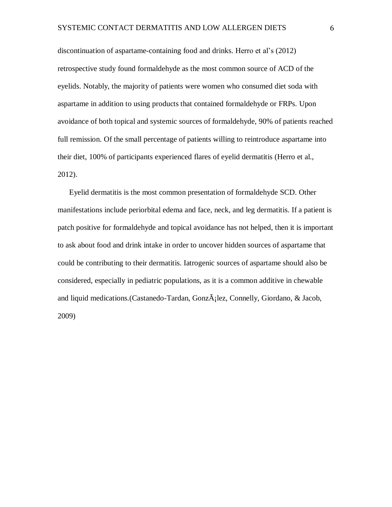discontinuation of aspartame-containing food and drinks. Herro et al's (2012) retrospective study found formaldehyde as the most common source of ACD of the eyelids. Notably, the majority of patients were women who consumed diet soda with aspartame in addition to using products that contained formaldehyde or FRPs. Upon avoidance of both topical and systemic sources of formaldehyde, 90% of patients reached full remission. Of the small percentage of patients willing to reintroduce aspartame into their diet, 100% of participants experienced flares of eyelid dermatitis (Herro et al., 2012).

Eyelid dermatitis is the most common presentation of formaldehyde SCD. Other manifestations include periorbital edema and face, neck, and leg dermatitis. If a patient is patch positive for formaldehyde and topical avoidance has not helped, then it is important to ask about food and drink intake in order to uncover hidden sources of aspartame that could be contributing to their dermatitis. Iatrogenic sources of aspartame should also be considered, especially in pediatric populations, as it is a common additive in chewable and liquid medications.(Castanedo-Tardan, Gonz $\tilde{A}$ ; lez, Connelly, Giordano, & Jacob, 2009)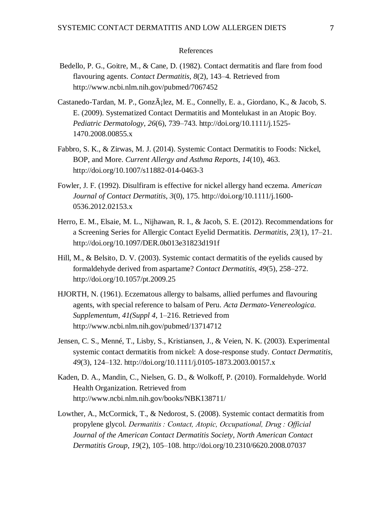# References

- Bedello, P. G., Goitre, M., & Cane, D. (1982). Contact dermatitis and flare from food flavouring agents. *Contact Dermatitis*, *8*(2), 143–4. Retrieved from http://www.ncbi.nlm.nih.gov/pubmed/7067452
- Castanedo-Tardan, M. P., Gonz $\tilde{A}$ ; lez, M. E., Connelly, E. a., Giordano, K., & Jacob, S. E. (2009). Systematized Contact Dermatitis and Montelukast in an Atopic Boy. *Pediatric Dermatology*, *26*(6), 739–743. http://doi.org/10.1111/j.1525- 1470.2008.00855.x
- Fabbro, S. K., & Zirwas, M. J. (2014). Systemic Contact Dermatitis to Foods: Nickel, BOP, and More. *Current Allergy and Asthma Reports*, *14*(10), 463. http://doi.org/10.1007/s11882-014-0463-3
- Fowler, J. F. (1992). Disulfiram is effective for nickel allergy hand eczema. *American Journal of Contact Dermatitis*, *3*(0), 175. http://doi.org/10.1111/j.1600- 0536.2012.02153.x
- Herro, E. M., Elsaie, M. L., Nijhawan, R. I., & Jacob, S. E. (2012). Recommendations for a Screening Series for Allergic Contact Eyelid Dermatitis. *Dermatitis*, *23*(1), 17–21. http://doi.org/10.1097/DER.0b013e31823d191f
- Hill, M., & Belsito, D. V. (2003). Systemic contact dermatitis of the eyelids caused by formaldehyde derived from aspartame? *Contact Dermatitis*, *49*(5), 258–272. http://doi.org/10.1057/pt.2009.25
- HJORTH, N. (1961). Eczematous allergy to balsams, allied perfumes and flavouring agents, with special reference to balsam of Peru. *Acta Dermato-Venereologica. Supplementum*, *41(Suppl 4*, 1–216. Retrieved from http://www.ncbi.nlm.nih.gov/pubmed/13714712
- Jensen, C. S., Menné, T., Lisby, S., Kristiansen, J., & Veien, N. K. (2003). Experimental systemic contact dermatitis from nickel: A dose-response study. *Contact Dermatitis*, *49*(3), 124–132. http://doi.org/10.1111/j.0105-1873.2003.00157.x
- Kaden, D. A., Mandin, C., Nielsen, G. D., & Wolkoff, P. (2010). Formaldehyde. World Health Organization. Retrieved from http://www.ncbi.nlm.nih.gov/books/NBK138711/
- Lowther, A., McCormick, T., & Nedorost, S. (2008). Systemic contact dermatitis from propylene glycol. *Dermatitis : Contact, Atopic, Occupational, Drug : Official Journal of the American Contact Dermatitis Society, North American Contact Dermatitis Group*, *19*(2), 105–108. http://doi.org/10.2310/6620.2008.07037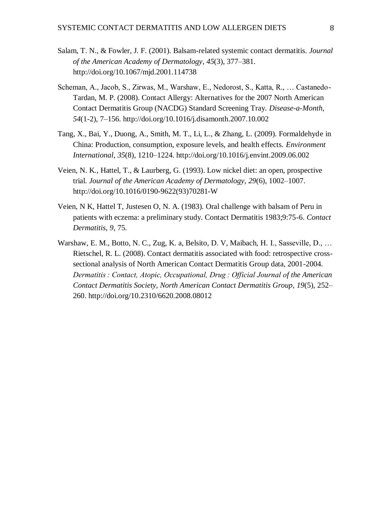- Salam, T. N., & Fowler, J. F. (2001). Balsam-related systemic contact dermatitis. *Journal of the American Academy of Dermatology*, *45*(3), 377–381. http://doi.org/10.1067/mjd.2001.114738
- Scheman, A., Jacob, S., Zirwas, M., Warshaw, E., Nedorost, S., Katta, R., … Castanedo-Tardan, M. P. (2008). Contact Allergy: Alternatives for the 2007 North American Contact Dermatitis Group (NACDG) Standard Screening Tray. *Disease-a-Month*, *54*(1-2), 7–156. http://doi.org/10.1016/j.disamonth.2007.10.002
- Tang, X., Bai, Y., Duong, A., Smith, M. T., Li, L., & Zhang, L. (2009). Formaldehyde in China: Production, consumption, exposure levels, and health effects. *Environment International*, *35*(8), 1210–1224. http://doi.org/10.1016/j.envint.2009.06.002
- Veien, N. K., Hattel, T., & Laurberg, G. (1993). Low nickel diet: an open, prospective trial. *Journal of the American Academy of Dermatology*, *29*(6), 1002–1007. http://doi.org/10.1016/0190-9622(93)70281-W
- Veien, N K, Hattel T, Justesen O, N. A. (1983). Oral challenge with balsam of Peru in patients with eczema: a preliminary study. Contact Dermatitis 1983;9:75-6. *Contact Dermatitis*, *9*, 75.
- Warshaw, E. M., Botto, N. C., Zug, K. a, Belsito, D. V, Maibach, H. I., Sasseville, D., … Rietschel, R. L. (2008). Contact dermatitis associated with food: retrospective crosssectional analysis of North American Contact Dermatitis Group data, 2001-2004. *Dermatitis : Contact, Atopic, Occupational, Drug : Official Journal of the American Contact Dermatitis Society, North American Contact Dermatitis Group*, *19*(5), 252– 260. http://doi.org/10.2310/6620.2008.08012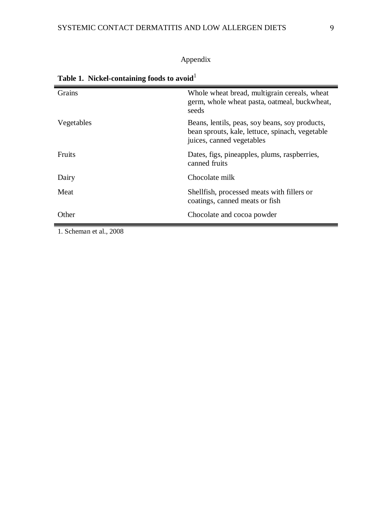# Appendix

| Grains                  | Whole wheat bread, multigrain cereals, wheat<br>germ, whole wheat pasta, oatmeal, buckwheat,<br>seeds                          |
|-------------------------|--------------------------------------------------------------------------------------------------------------------------------|
| Vegetables              | Beans, lentils, peas, soy beans, soy products,<br>bean sprouts, kale, lettuce, spinach, vegetable<br>juices, canned vegetables |
| <b>Fruits</b>           | Dates, figs, pineapples, plums, raspberries,<br>canned fruits                                                                  |
| Dairy                   | Chocolate milk                                                                                                                 |
| Meat                    | Shellfish, processed meats with fillers or<br>coatings, canned meats or fish                                                   |
| Other                   | Chocolate and cocoa powder                                                                                                     |
| 1. Scheman et al., 2008 |                                                                                                                                |

| Table 1. Nickel-containing foods to avoid $^{\rm l}$ |  |
|------------------------------------------------------|--|
|                                                      |  |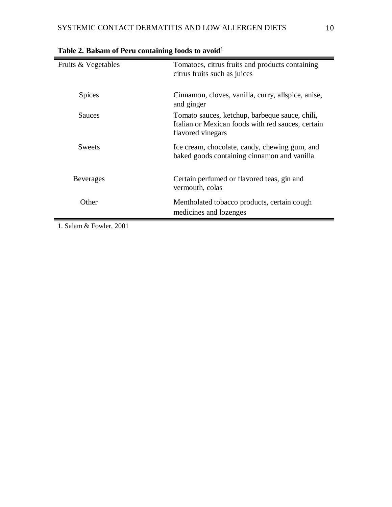| Fruits & Vegetables | Tomatoes, citrus fruits and products containing<br>citrus fruits such as juices                                          |
|---------------------|--------------------------------------------------------------------------------------------------------------------------|
| <b>Spices</b>       | Cinnamon, cloves, vanilla, curry, allspice, anise,<br>and ginger                                                         |
| <b>Sauces</b>       | Tomato sauces, ketchup, barbeque sauce, chili,<br>Italian or Mexican foods with red sauces, certain<br>flavored vinegars |
| <b>Sweets</b>       | Ice cream, chocolate, candy, chewing gum, and<br>baked goods containing cinnamon and vanilla                             |
| <b>Beverages</b>    | Certain perfumed or flavored teas, gin and<br>vermouth, colas                                                            |
| Other               | Mentholated tobacco products, certain cough<br>medicines and lozenges                                                    |

Table 2. Balsam of Peru containing foods to avoid<sup>1</sup>

1. Salam & Fowler, 2001